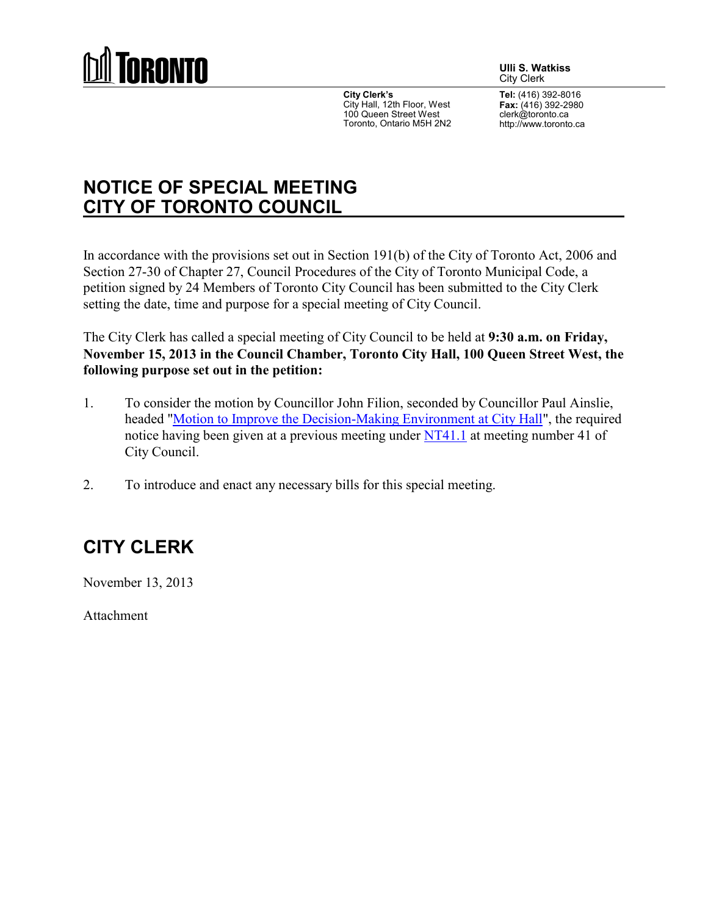

**City Clerk's** City Hall, 12th Floor, West 100 Queen Street West Toronto, Ontario M5H 2N2 **Ulli S. Watkiss** City Clerk

**Tel:** (416) 392-8016 **Fax:** (416) 392-2980 clerk@toronto.ca http://www.toronto.ca

## **NOTICE OF SPECIAL MEETING CITY OF TORONTO COUNCIL**

In accordance with the provisions set out in Section 191(b) of the City of Toronto Act, 2006 and Section 27-30 of Chapter 27, Council Procedures of the City of Toronto Municipal Code, a petition signed by 24 Members of Toronto City Council has been submitted to the City Clerk setting the date, time and purpose for a special meeting of City Council.

The City Clerk has called a special meeting of City Council to be held at **9:30 a.m. on Friday, November 15, 2013 in the Council Chamber, Toronto City Hall, 100 Queen Street West, the following purpose set out in the petition:**

- 1. To consider the motion by Councillor John Filion, seconded by Councillor Paul Ainslie, headed ["Motion to Improve the Decision-Making Environment at City Hall"](http://www.toronto.ca/legdocs/mmis/2013/nt/bgrd/backgroundfile-63514.pdf), the required notice having been given at a previous meeting under [NT41.1](http://app.toronto.ca/tmmis/viewAgendaItemHistory.do?item=2013.NT41.1) at meeting number 41 of City Council.
- 2. To introduce and enact any necessary bills for this special meeting.

## **CITY CLERK**

November 13, 2013

Attachment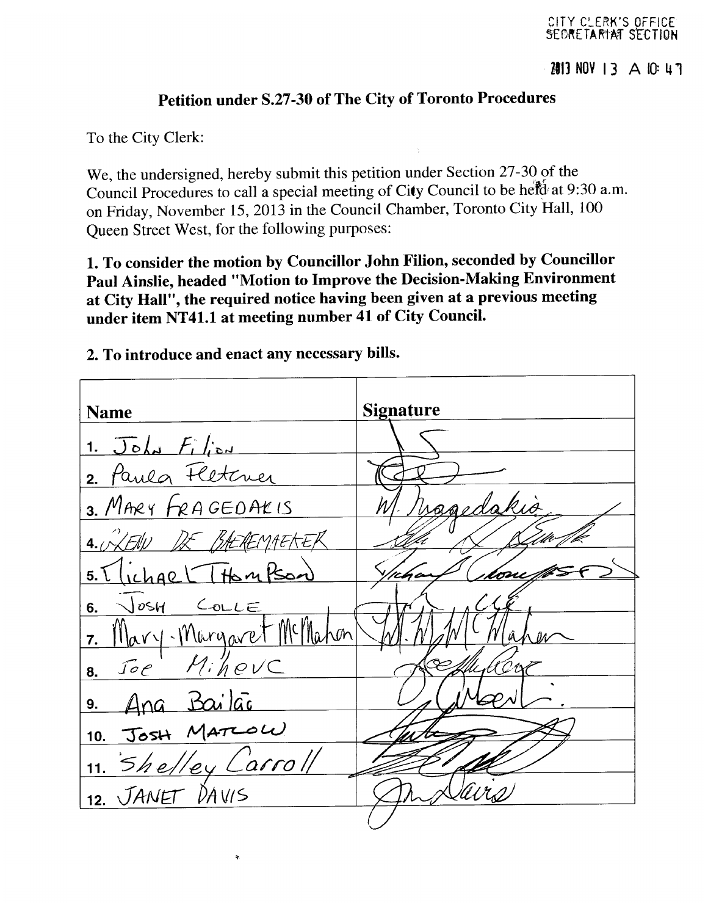## Petition under S.27-30 of The City of Toronto Procedures

To the City Clerk:

We, the undersigned, hereby submit this petition under Section 27-30 of the Council Procedures to call a special meeting of City Council to be held at 9:30 a.m. on Friday, November 15, 2013 in the Council Chamber, Toronto City Hall, 100 Oueen Street West, for the following purposes:

1. To consider the motion by Councillor John Filion, seconded by Councillor Paul Ainslie, headed "Motion to Improve the Decision-Making Environment at City Hall", the required notice having been given at a previous meeting under item NT41.1 at meeting number 41 of City Council.

**Signature Name**  $J \circ l$  $\mathbf 1$ . Paula Fletcuer  $2<sub>1</sub>$ 3. MARY FRAGEDAKIS  $4.7$  $H_{\lambda}$  $M$  $C_{\text{OL}}E$ Josh 6. Il livra 7. hevC 8. 9. JOSH MATLOW  $10.$ 'ey L'arroll  $11.$ 12. JANET  $DAVIS$ 

2. To introduce and enact any necessary bills.